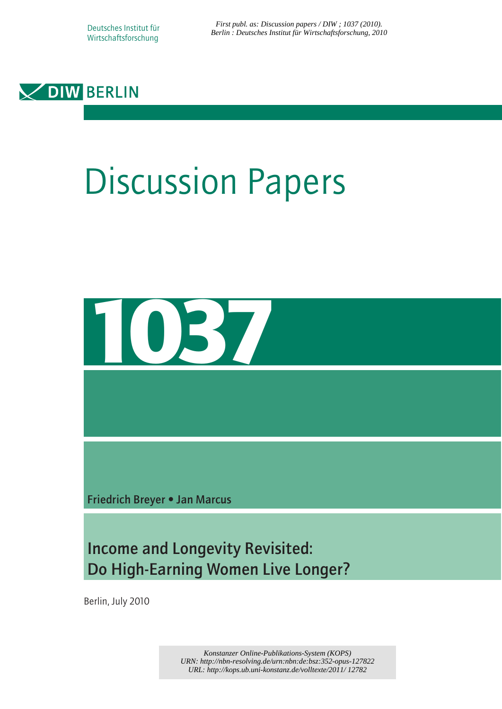*First publ. as: Discussion papers / DIW ; 1037 (2010). [Berlin : Deutsches Institut für Wirtschaftsforschung, 2010](http://www.diw.de/en/diw_01.c.100406.en/publications_and_events/publications/discussion_papers/discussion_papers.html)*



# Discussion Papers



Friedrich Breyer • Jan Marcus

Income and Longevity Revisited: Do High-Earning Women Live Longer?

Berlin, July 2010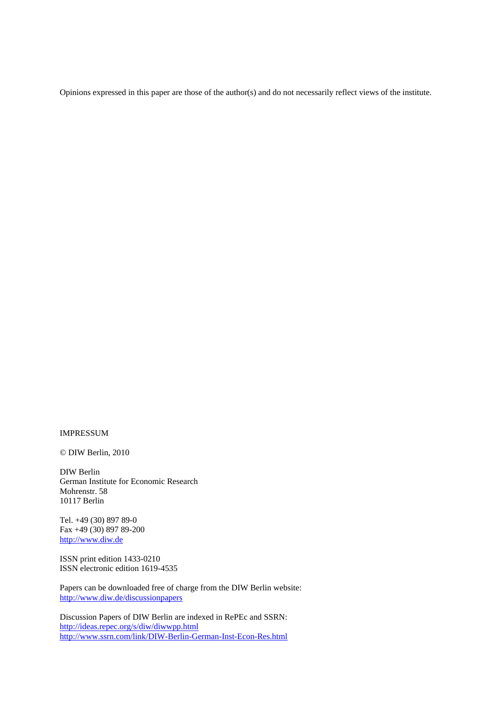Opinions expressed in this paper are those of the author(s) and do not necessarily reflect views of the institute.

#### IMPRESSUM

© DIW Berlin, 2010

DIW Berlin German Institute for Economic Research Mohrenstr. 58 10117 Berlin

Tel. +49 (30) 897 89-0 Fax +49 (30) 897 89-200 [http://www.diw.de](http://www.diw.de/)

ISSN print edition 1433-0210 ISSN electronic edition 1619-4535

Papers can be downloaded free of charge from the DIW Berlin website: <http://www.diw.de/discussionpapers>

Discussion Papers of DIW Berlin are indexed in RePEc and SSRN: http://ideas.repec.org/s/diw/diwwpp.html <http://www.ssrn.com/link/DIW-Berlin-German-Inst-Econ-Res.html>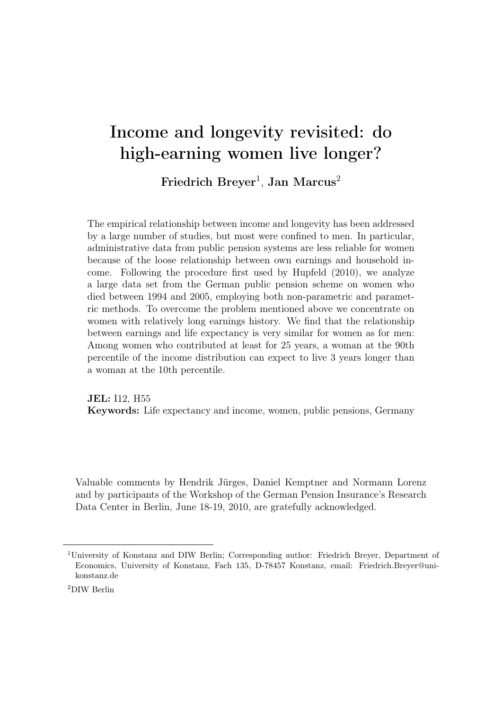# Income and longevity revisited: do high-earning women live longer?

 $\operatorname{Friedrich} \, \operatorname{Breyer}^1, \, \operatorname{Jan} \, \operatorname{Marcus}^2$ 

The empirical relationship between income and longevity has been addressed by a large number of studies, but most were confined to men. In particular, administrative data from public pension systems are less reliable for women because of the loose relationship between own earnings and household income. Following the procedure first used by Hupfeld (2010), we analyze a large data set from the German public pension scheme on women who died between 1994 and 2005, employing both non-parametric and parametric methods. To overcome the problem mentioned above we concentrate on women with relatively long earnings history. We find that the relationship between earnings and life expectancy is very similar for women as for men: Among women who contributed at least for 25 years, a woman at the 90th percentile of the income distribution can expect to live 3 years longer than a woman at the 10th percentile.

JEL: I12, H55 Keywords: Life expectancy and income, women, public pensions, Germany

Valuable comments by Hendrik Jürges, Daniel Kemptner and Normann Lorenz and by participants of the Workshop of the German Pension Insurance's Research Data Center in Berlin, June 18-19, 2010, are gratefully acknowledged.

<sup>1</sup>University of Konstanz and DIW Berlin; Corresponding author: Friedrich Breyer, Department of Economics, University of Konstanz, Fach 135, D-78457 Konstanz, email: Friedrich.Breyer@unikonstanz.de

<sup>2</sup>DIW Berlin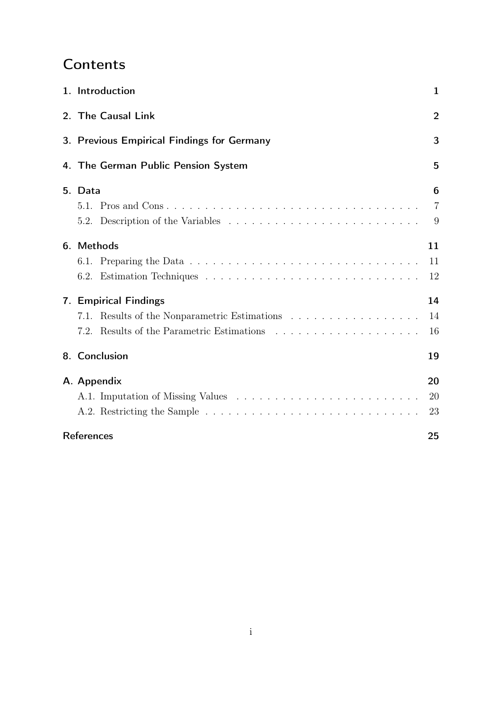## **Contents**

| 1. Introduction                            | 1              |  |  |  |  |  |  |
|--------------------------------------------|----------------|--|--|--|--|--|--|
| 2. The Causal Link                         |                |  |  |  |  |  |  |
| 3. Previous Empirical Findings for Germany |                |  |  |  |  |  |  |
| 4. The German Public Pension System        | 5              |  |  |  |  |  |  |
| 5. Data                                    | 6              |  |  |  |  |  |  |
|                                            | $\overline{7}$ |  |  |  |  |  |  |
|                                            | 9              |  |  |  |  |  |  |
| 6. Methods                                 | 11             |  |  |  |  |  |  |
|                                            | 11             |  |  |  |  |  |  |
|                                            | 12             |  |  |  |  |  |  |
| 7. Empirical Findings                      | 14             |  |  |  |  |  |  |
| 7.1.                                       | 14             |  |  |  |  |  |  |
|                                            | 16             |  |  |  |  |  |  |
| 8. Conclusion                              | 19             |  |  |  |  |  |  |
| A. Appendix                                | 20             |  |  |  |  |  |  |
|                                            | 20             |  |  |  |  |  |  |
|                                            | 23             |  |  |  |  |  |  |
| <b>References</b>                          | 25             |  |  |  |  |  |  |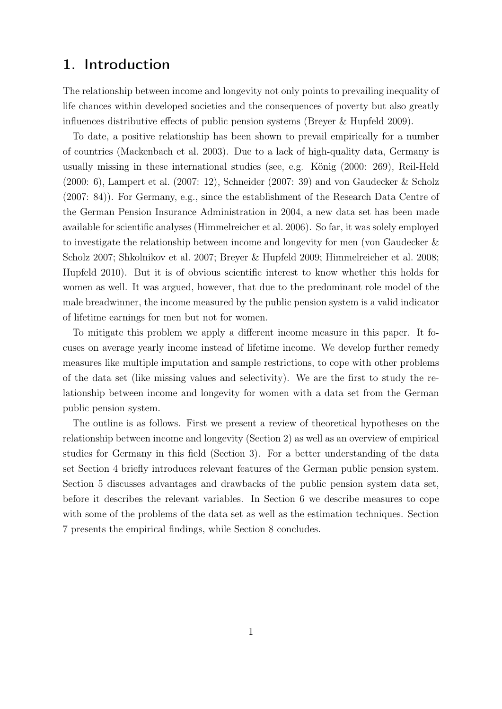## 1. Introduction

The relationship between income and longevity not only points to prevailing inequality of life chances within developed societies and the consequences of poverty but also greatly influences distributive effects of public pension systems (Breyer & Hupfeld 2009).

To date, a positive relationship has been shown to prevail empirically for a number of countries (Mackenbach et al. 2003). Due to a lack of high-quality data, Germany is usually missing in these international studies (see, e.g. König (2000: 269), Reil-Held (2000: 6), Lampert et al. (2007: 12), Schneider (2007: 39) and von Gaudecker & Scholz (2007: 84)). For Germany, e.g., since the establishment of the Research Data Centre of the German Pension Insurance Administration in 2004, a new data set has been made available for scientific analyses (Himmelreicher et al. 2006). So far, it was solely employed to investigate the relationship between income and longevity for men (von Gaudecker & Scholz 2007; Shkolnikov et al. 2007; Breyer & Hupfeld 2009; Himmelreicher et al. 2008; Hupfeld 2010). But it is of obvious scientific interest to know whether this holds for women as well. It was argued, however, that due to the predominant role model of the male breadwinner, the income measured by the public pension system is a valid indicator of lifetime earnings for men but not for women.

To mitigate this problem we apply a different income measure in this paper. It focuses on average yearly income instead of lifetime income. We develop further remedy measures like multiple imputation and sample restrictions, to cope with other problems of the data set (like missing values and selectivity). We are the first to study the relationship between income and longevity for women with a data set from the German public pension system.

The outline is as follows. First we present a review of theoretical hypotheses on the relationship between income and longevity (Section 2) as well as an overview of empirical studies for Germany in this field (Section 3). For a better understanding of the data set Section 4 briefly introduces relevant features of the German public pension system. Section 5 discusses advantages and drawbacks of the public pension system data set, before it describes the relevant variables. In Section 6 we describe measures to cope with some of the problems of the data set as well as the estimation techniques. Section 7 presents the empirical findings, while Section 8 concludes.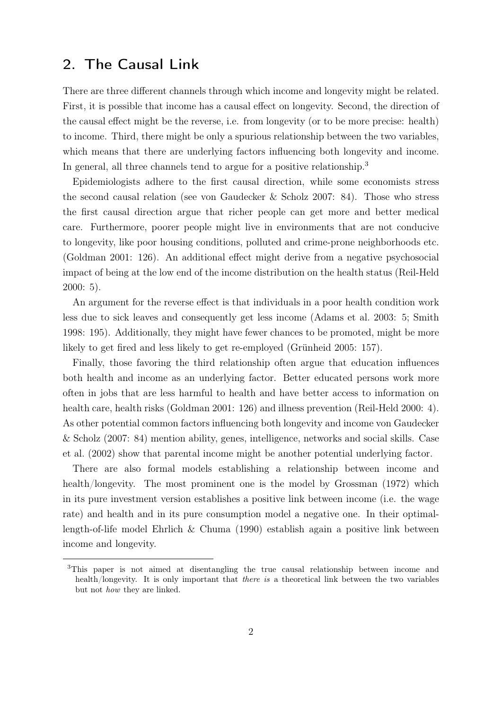## 2. The Causal Link

There are three different channels through which income and longevity might be related. First, it is possible that income has a causal effect on longevity. Second, the direction of the causal effect might be the reverse, i.e. from longevity (or to be more precise: health) to income. Third, there might be only a spurious relationship between the two variables, which means that there are underlying factors influencing both longevity and income. In general, all three channels tend to argue for a positive relationship.<sup>3</sup>

Epidemiologists adhere to the first causal direction, while some economists stress the second causal relation (see von Gaudecker & Scholz 2007: 84). Those who stress the first causal direction argue that richer people can get more and better medical care. Furthermore, poorer people might live in environments that are not conducive to longevity, like poor housing conditions, polluted and crime-prone neighborhoods etc. (Goldman 2001: 126). An additional effect might derive from a negative psychosocial impact of being at the low end of the income distribution on the health status (Reil-Held 2000: 5).

An argument for the reverse effect is that individuals in a poor health condition work less due to sick leaves and consequently get less income (Adams et al. 2003: 5; Smith 1998: 195). Additionally, they might have fewer chances to be promoted, might be more likely to get fired and less likely to get re-employed (Grünheid 2005: 157).

Finally, those favoring the third relationship often argue that education influences both health and income as an underlying factor. Better educated persons work more often in jobs that are less harmful to health and have better access to information on health care, health risks (Goldman 2001: 126) and illness prevention (Reil-Held 2000: 4). As other potential common factors influencing both longevity and income von Gaudecker & Scholz (2007: 84) mention ability, genes, intelligence, networks and social skills. Case et al. (2002) show that parental income might be another potential underlying factor.

There are also formal models establishing a relationship between income and health/longevity. The most prominent one is the model by Grossman (1972) which in its pure investment version establishes a positive link between income (i.e. the wage rate) and health and in its pure consumption model a negative one. In their optimallength-of-life model Ehrlich & Chuma (1990) establish again a positive link between income and longevity.

<sup>3</sup>This paper is not aimed at disentangling the true causal relationship between income and health/longevity. It is only important that there is a theoretical link between the two variables but not how they are linked.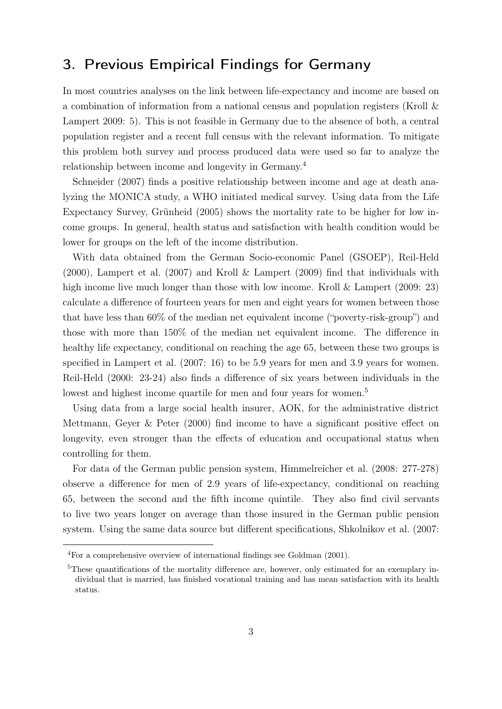## 3. Previous Empirical Findings for Germany

In most countries analyses on the link between life-expectancy and income are based on a combination of information from a national census and population registers (Kroll & Lampert 2009: 5). This is not feasible in Germany due to the absence of both, a central population register and a recent full census with the relevant information. To mitigate this problem both survey and process produced data were used so far to analyze the relationship between income and longevity in Germany.<sup>4</sup>

Schneider (2007) finds a positive relationship between income and age at death analyzing the MONICA study, a WHO initiated medical survey. Using data from the Life Expectancy Survey, Grünheid (2005) shows the mortality rate to be higher for low income groups. In general, health status and satisfaction with health condition would be lower for groups on the left of the income distribution.

With data obtained from the German Socio-economic Panel (GSOEP), Reil-Held (2000), Lampert et al. (2007) and Kroll & Lampert (2009) find that individuals with high income live much longer than those with low income. Kroll & Lampert (2009: 23) calculate a difference of fourteen years for men and eight years for women between those that have less than 60% of the median net equivalent income ("poverty-risk-group") and those with more than 150% of the median net equivalent income. The difference in healthy life expectancy, conditional on reaching the age 65, between these two groups is specified in Lampert et al. (2007: 16) to be 5.9 years for men and 3.9 years for women. Reil-Held (2000: 23-24) also finds a difference of six years between individuals in the lowest and highest income quartile for men and four years for women.<sup>5</sup>

Using data from a large social health insurer, AOK, for the administrative district Mettmann, Geyer & Peter (2000) find income to have a significant positive effect on longevity, even stronger than the effects of education and occupational status when controlling for them.

For data of the German public pension system, Himmelreicher et al. (2008: 277-278) observe a difference for men of 2.9 years of life-expectancy, conditional on reaching 65, between the second and the fifth income quintile. They also find civil servants to live two years longer on average than those insured in the German public pension system. Using the same data source but different specifications, Shkolnikov et al. (2007:

<sup>4</sup>For a comprehensive overview of international findings see Goldman (2001).

<sup>&</sup>lt;sup>5</sup>These quantifications of the mortality difference are, however, only estimated for an exemplary individual that is married, has finished vocational training and has mean satisfaction with its health status.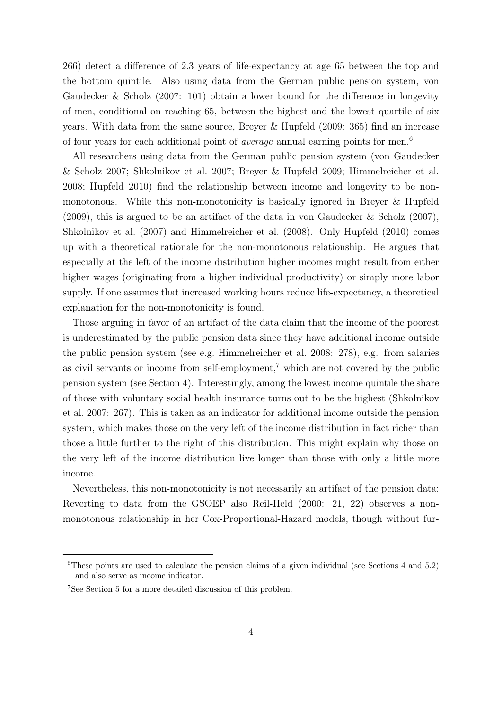266) detect a difference of 2.3 years of life-expectancy at age 65 between the top and the bottom quintile. Also using data from the German public pension system, von Gaudecker & Scholz (2007: 101) obtain a lower bound for the difference in longevity of men, conditional on reaching 65, between the highest and the lowest quartile of six years. With data from the same source, Breyer & Hupfeld (2009: 365) find an increase of four years for each additional point of average annual earning points for men.<sup>6</sup>

All researchers using data from the German public pension system (von Gaudecker & Scholz 2007; Shkolnikov et al. 2007; Breyer & Hupfeld 2009; Himmelreicher et al. 2008; Hupfeld 2010) find the relationship between income and longevity to be nonmonotonous. While this non-monotonicity is basically ignored in Breyer & Hupfeld (2009), this is argued to be an artifact of the data in von Gaudecker & Scholz (2007), Shkolnikov et al. (2007) and Himmelreicher et al. (2008). Only Hupfeld (2010) comes up with a theoretical rationale for the non-monotonous relationship. He argues that especially at the left of the income distribution higher incomes might result from either higher wages (originating from a higher individual productivity) or simply more labor supply. If one assumes that increased working hours reduce life-expectancy, a theoretical explanation for the non-monotonicity is found.

Those arguing in favor of an artifact of the data claim that the income of the poorest is underestimated by the public pension data since they have additional income outside the public pension system (see e.g. Himmelreicher et al. 2008: 278), e.g. from salaries as civil servants or income from self-employment,<sup> $7$ </sup> which are not covered by the public pension system (see Section 4). Interestingly, among the lowest income quintile the share of those with voluntary social health insurance turns out to be the highest (Shkolnikov et al. 2007: 267). This is taken as an indicator for additional income outside the pension system, which makes those on the very left of the income distribution in fact richer than those a little further to the right of this distribution. This might explain why those on the very left of the income distribution live longer than those with only a little more income.

Nevertheless, this non-monotonicity is not necessarily an artifact of the pension data: Reverting to data from the GSOEP also Reil-Held (2000: 21, 22) observes a nonmonotonous relationship in her Cox-Proportional-Hazard models, though without fur-

<sup>&</sup>lt;sup>6</sup>These points are used to calculate the pension claims of a given individual (see Sections 4 and 5.2) and also serve as income indicator.

<sup>7</sup>See Section 5 for a more detailed discussion of this problem.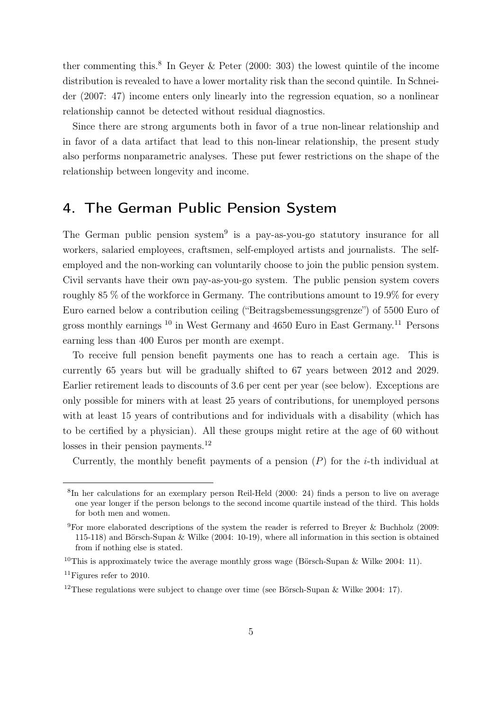ther commenting this.<sup>8</sup> In Geyer & Peter (2000: 303) the lowest quintile of the income distribution is revealed to have a lower mortality risk than the second quintile. In Schneider (2007: 47) income enters only linearly into the regression equation, so a nonlinear relationship cannot be detected without residual diagnostics.

Since there are strong arguments both in favor of a true non-linear relationship and in favor of a data artifact that lead to this non-linear relationship, the present study also performs nonparametric analyses. These put fewer restrictions on the shape of the relationship between longevity and income.

## 4. The German Public Pension System

The German public pension system<sup>9</sup> is a pay-as-you-go statutory insurance for all workers, salaried employees, craftsmen, self-employed artists and journalists. The selfemployed and the non-working can voluntarily choose to join the public pension system. Civil servants have their own pay-as-you-go system. The public pension system covers roughly 85 % of the workforce in Germany. The contributions amount to 19.9% for every Euro earned below a contribution ceiling ("Beitragsbemessungsgrenze") of 5500 Euro of gross monthly earnings <sup>10</sup> in West Germany and 4650 Euro in East Germany.<sup>11</sup> Persons earning less than 400 Euros per month are exempt.

To receive full pension benefit payments one has to reach a certain age. This is currently 65 years but will be gradually shifted to 67 years between 2012 and 2029. Earlier retirement leads to discounts of 3.6 per cent per year (see below). Exceptions are only possible for miners with at least 25 years of contributions, for unemployed persons with at least 15 years of contributions and for individuals with a disability (which has to be certified by a physician). All these groups might retire at the age of 60 without losses in their pension payments. $^{12}$ 

Currently, the monthly benefit payments of a pension  $(P)$  for the *i*-th individual at

<sup>8</sup> In her calculations for an exemplary person Reil-Held (2000: 24) finds a person to live on average one year longer if the person belongs to the second income quartile instead of the third. This holds for both men and women.

<sup>&</sup>lt;sup>9</sup>For more elaborated descriptions of the system the reader is referred to Breyer & Buchholz (2009: 115-118) and Börsch-Supan & Wilke (2004: 10-19), where all information in this section is obtained from if nothing else is stated.

<sup>&</sup>lt;sup>10</sup>This is approximately twice the average monthly gross wage (Börsch-Supan & Wilke 2004: 11).

 $11$ Figures refer to 2010.

<sup>&</sup>lt;sup>12</sup>These regulations were subject to change over time (see Börsch-Supan & Wilke 2004: 17).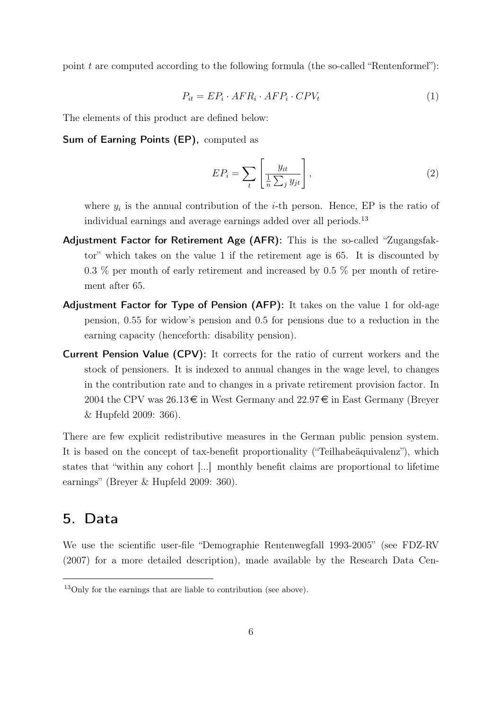point  $t$  are computed according to the following formula (the so-called "Rentenformel"):

$$
P_{it} = EP_i \cdot AFR_i \cdot AFP_i \cdot CPV_t \tag{1}
$$

The elements of this product are defined below:

Sum of Earning Points (EP), computed as

$$
EP_i = \sum_{t} \left[ \frac{y_{it}}{\frac{1}{n} \sum_{j} y_{jt}} \right],
$$
\n(2)

where  $y_i$  is the annual contribution of the *i*-th person. Hence, EP is the ratio of individual earnings and average earnings added over all periods.<sup>13</sup>

- Adjustment Factor for Retirement Age (AFR): This is the so-called "Zugangsfaktor" which takes on the value 1 if the retirement age is 65. It is discounted by 0.3 % per month of early retirement and increased by 0.5 % per month of retirement after 65.
- Adjustment Factor for Type of Pension (AFP): It takes on the value 1 for old-age pension, 0.55 for widow's pension and 0.5 for pensions due to a reduction in the earning capacity (henceforth: disability pension).
- Current Pension Value (CPV): It corrects for the ratio of current workers and the stock of pensioners. It is indexed to annual changes in the wage level, to changes in the contribution rate and to changes in a private retirement provision factor. In 2004 the CPV was  $26.13 \in \mathbb{R}$  in West Germany and  $22.97 \in \mathbb{R}$  in East Germany (Breyer & Hupfeld 2009: 366).

There are few explicit redistributive measures in the German public pension system. It is based on the concept of tax-benefit proportionality ("Teilhabeäquivalenz"), which states that "within any cohort [...] monthly benefit claims are proportional to lifetime earnings" (Breyer & Hupfeld 2009: 360).

### 5. Data

We use the scientific user-file "Demographie Rentenwegfall 1993-2005" (see FDZ-RV (2007) for a more detailed description), made available by the Research Data Cen-

<sup>13</sup>Only for the earnings that are liable to contribution (see above).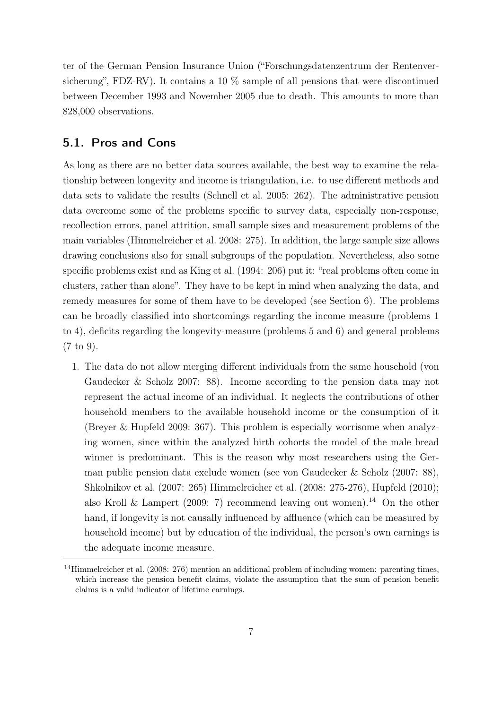ter of the German Pension Insurance Union ("Forschungsdatenzentrum der Rentenversicherung", FDZ-RV). It contains a 10 % sample of all pensions that were discontinued between December 1993 and November 2005 due to death. This amounts to more than 828,000 observations.

#### 5.1. Pros and Cons

As long as there are no better data sources available, the best way to examine the relationship between longevity and income is triangulation, i.e. to use different methods and data sets to validate the results (Schnell et al. 2005: 262). The administrative pension data overcome some of the problems specific to survey data, especially non-response, recollection errors, panel attrition, small sample sizes and measurement problems of the main variables (Himmelreicher et al. 2008: 275). In addition, the large sample size allows drawing conclusions also for small subgroups of the population. Nevertheless, also some specific problems exist and as King et al. (1994: 206) put it: "real problems often come in clusters, rather than alone". They have to be kept in mind when analyzing the data, and remedy measures for some of them have to be developed (see Section 6). The problems can be broadly classified into shortcomings regarding the income measure (problems 1 to 4), deficits regarding the longevity-measure (problems 5 and 6) and general problems (7 to 9).

1. The data do not allow merging different individuals from the same household (von Gaudecker & Scholz 2007: 88). Income according to the pension data may not represent the actual income of an individual. It neglects the contributions of other household members to the available household income or the consumption of it (Breyer & Hupfeld 2009: 367). This problem is especially worrisome when analyzing women, since within the analyzed birth cohorts the model of the male bread winner is predominant. This is the reason why most researchers using the German public pension data exclude women (see von Gaudecker & Scholz (2007: 88), Shkolnikov et al. (2007: 265) Himmelreicher et al. (2008: 275-276), Hupfeld (2010); also Kroll & Lampert (2009: 7) recommend leaving out women).<sup>14</sup> On the other hand, if longevity is not causally influenced by affluence (which can be measured by household income) but by education of the individual, the person's own earnings is the adequate income measure.

<sup>&</sup>lt;sup>14</sup>Himmelreicher et al. (2008: 276) mention an additional problem of including women: parenting times, which increase the pension benefit claims, violate the assumption that the sum of pension benefit claims is a valid indicator of lifetime earnings.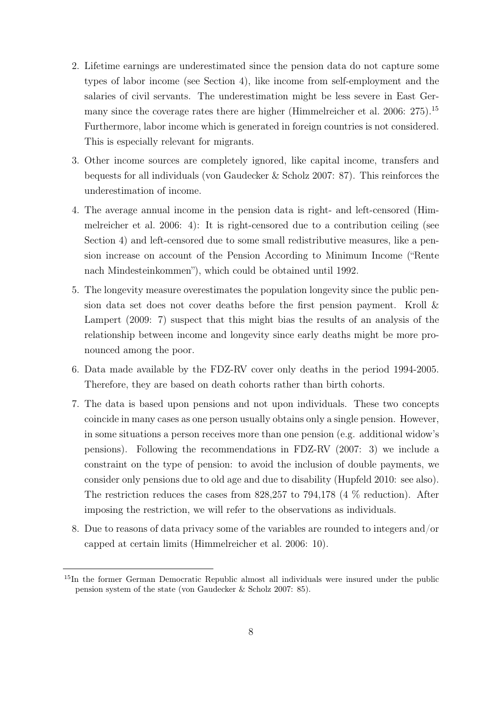- 2. Lifetime earnings are underestimated since the pension data do not capture some types of labor income (see Section 4), like income from self-employment and the salaries of civil servants. The underestimation might be less severe in East Germany since the coverage rates there are higher (Himmelreicher et al. 2006: 275).<sup>15</sup> Furthermore, labor income which is generated in foreign countries is not considered. This is especially relevant for migrants.
- 3. Other income sources are completely ignored, like capital income, transfers and bequests for all individuals (von Gaudecker & Scholz 2007: 87). This reinforces the underestimation of income.
- 4. The average annual income in the pension data is right- and left-censored (Himmelreicher et al. 2006: 4): It is right-censored due to a contribution ceiling (see Section 4) and left-censored due to some small redistributive measures, like a pension increase on account of the Pension According to Minimum Income ("Rente nach Mindesteinkommen"), which could be obtained until 1992.
- 5. The longevity measure overestimates the population longevity since the public pension data set does not cover deaths before the first pension payment. Kroll & Lampert (2009: 7) suspect that this might bias the results of an analysis of the relationship between income and longevity since early deaths might be more pronounced among the poor.
- 6. Data made available by the FDZ-RV cover only deaths in the period 1994-2005. Therefore, they are based on death cohorts rather than birth cohorts.
- 7. The data is based upon pensions and not upon individuals. These two concepts coincide in many cases as one person usually obtains only a single pension. However, in some situations a person receives more than one pension (e.g. additional widow's pensions). Following the recommendations in FDZ-RV (2007: 3) we include a constraint on the type of pension: to avoid the inclusion of double payments, we consider only pensions due to old age and due to disability (Hupfeld 2010: see also). The restriction reduces the cases from 828,257 to 794,178 (4 % reduction). After imposing the restriction, we will refer to the observations as individuals.
- 8. Due to reasons of data privacy some of the variables are rounded to integers and/or capped at certain limits (Himmelreicher et al. 2006: 10).

<sup>15</sup>In the former German Democratic Republic almost all individuals were insured under the public pension system of the state (von Gaudecker & Scholz 2007: 85).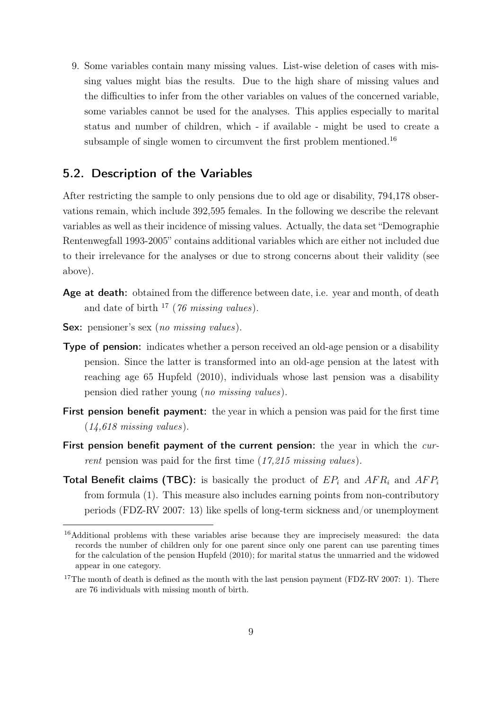9. Some variables contain many missing values. List-wise deletion of cases with missing values might bias the results. Due to the high share of missing values and the difficulties to infer from the other variables on values of the concerned variable, some variables cannot be used for the analyses. This applies especially to marital status and number of children, which - if available - might be used to create a subsample of single women to circumvent the first problem mentioned.<sup>16</sup>

#### 5.2. Description of the Variables

After restricting the sample to only pensions due to old age or disability, 794,178 observations remain, which include 392,595 females. In the following we describe the relevant variables as well as their incidence of missing values. Actually, the data set "Demographie Rentenwegfall 1993-2005" contains additional variables which are either not included due to their irrelevance for the analyses or due to strong concerns about their validity (see above).

- Age at death: obtained from the difference between date, i.e. year and month, of death and date of birth  $^{17}$  (76 missing values).
- Sex: pensioner's sex (no missing values).
- Type of pension: indicates whether a person received an old-age pension or a disability pension. Since the latter is transformed into an old-age pension at the latest with reaching age 65 Hupfeld (2010), individuals whose last pension was a disability pension died rather young (no missing values).
- First pension benefit payment: the year in which a pension was paid for the first time  $(14, 618 \text{ missing values}).$
- First pension benefit payment of the current pension: the year in which the current pension was paid for the first time (17,215 missing values).
- Total Benefit claims (TBC): is basically the product of  $EP_i$  and  $AFR_i$  and  $AFP_i$ from formula (1). This measure also includes earning points from non-contributory periods (FDZ-RV 2007: 13) like spells of long-term sickness and/or unemployment

<sup>&</sup>lt;sup>16</sup>Additional problems with these variables arise because they are imprecisely measured: the data records the number of children only for one parent since only one parent can use parenting times for the calculation of the pension Hupfeld (2010); for marital status the unmarried and the widowed appear in one category.

 $17$ The month of death is defined as the month with the last pension payment (FDZ-RV 2007: 1). There are 76 individuals with missing month of birth.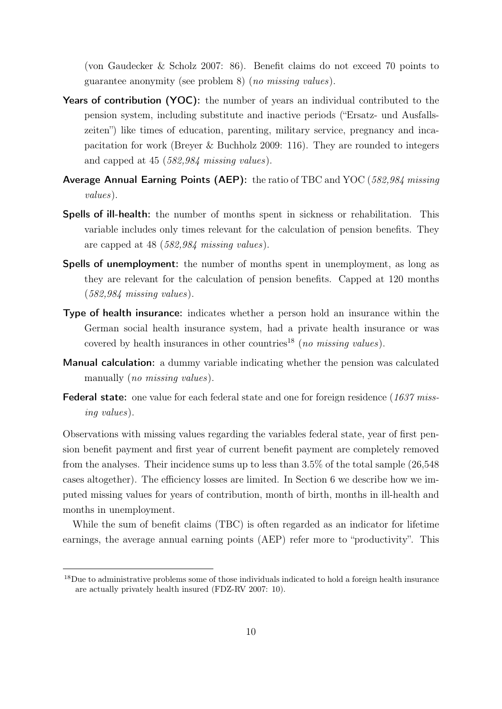(von Gaudecker & Scholz 2007: 86). Benefit claims do not exceed 70 points to guarantee anonymity (see problem 8) (no missing values).

- Years of contribution (YOC): the number of years an individual contributed to the pension system, including substitute and inactive periods ("Ersatz- und Ausfallszeiten") like times of education, parenting, military service, pregnancy and incapacitation for work (Breyer & Buchholz 2009: 116). They are rounded to integers and capped at 45 (582,984 missing values).
- Average Annual Earning Points (AEP): the ratio of TBC and YOC (582,984 missing values).
- Spells of ill-health: the number of months spent in sickness or rehabilitation. This variable includes only times relevant for the calculation of pension benefits. They are capped at 48 (582,984 missing values).
- Spells of unemployment: the number of months spent in unemployment, as long as they are relevant for the calculation of pension benefits. Capped at 120 months (582,984 missing values).
- Type of health insurance: indicates whether a person hold an insurance within the German social health insurance system, had a private health insurance or was covered by health insurances in other countries<sup>18</sup> (no missing values).
- Manual calculation: a dummy variable indicating whether the pension was calculated manually (*no missing values*).
- **Federal state:** one value for each federal state and one for foreign residence (1637 missing values).

Observations with missing values regarding the variables federal state, year of first pension benefit payment and first year of current benefit payment are completely removed from the analyses. Their incidence sums up to less than 3.5% of the total sample (26,548 cases altogether). The efficiency losses are limited. In Section 6 we describe how we imputed missing values for years of contribution, month of birth, months in ill-health and months in unemployment.

While the sum of benefit claims (TBC) is often regarded as an indicator for lifetime earnings, the average annual earning points (AEP) refer more to "productivity". This

<sup>&</sup>lt;sup>18</sup>Due to administrative problems some of those individuals indicated to hold a foreign health insurance are actually privately health insured (FDZ-RV 2007: 10).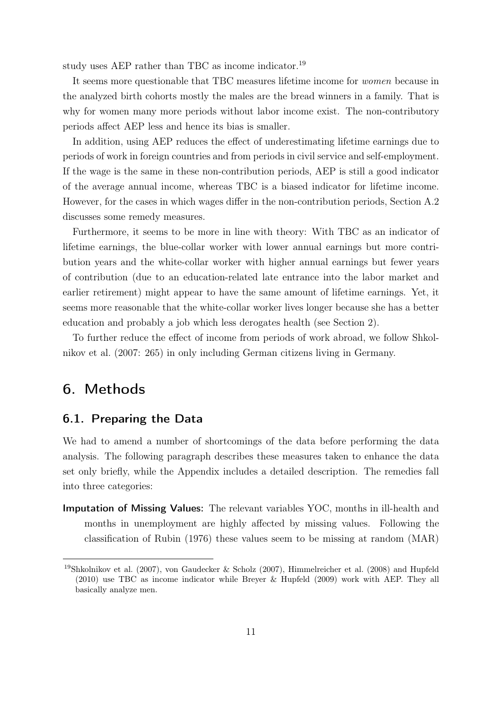study uses AEP rather than TBC as income indicator.<sup>19</sup>

It seems more questionable that TBC measures lifetime income for women because in the analyzed birth cohorts mostly the males are the bread winners in a family. That is why for women many more periods without labor income exist. The non-contributory periods affect AEP less and hence its bias is smaller.

In addition, using AEP reduces the effect of underestimating lifetime earnings due to periods of work in foreign countries and from periods in civil service and self-employment. If the wage is the same in these non-contribution periods, AEP is still a good indicator of the average annual income, whereas TBC is a biased indicator for lifetime income. However, for the cases in which wages differ in the non-contribution periods, Section A.2 discusses some remedy measures.

Furthermore, it seems to be more in line with theory: With TBC as an indicator of lifetime earnings, the blue-collar worker with lower annual earnings but more contribution years and the white-collar worker with higher annual earnings but fewer years of contribution (due to an education-related late entrance into the labor market and earlier retirement) might appear to have the same amount of lifetime earnings. Yet, it seems more reasonable that the white-collar worker lives longer because she has a better education and probably a job which less derogates health (see Section 2).

To further reduce the effect of income from periods of work abroad, we follow Shkolnikov et al. (2007: 265) in only including German citizens living in Germany.

## 6. Methods

#### 6.1. Preparing the Data

We had to amend a number of shortcomings of the data before performing the data analysis. The following paragraph describes these measures taken to enhance the data set only briefly, while the Appendix includes a detailed description. The remedies fall into three categories:

Imputation of Missing Values: The relevant variables YOC, months in ill-health and months in unemployment are highly affected by missing values. Following the classification of Rubin (1976) these values seem to be missing at random (MAR)

<sup>19</sup>Shkolnikov et al. (2007), von Gaudecker & Scholz (2007), Himmelreicher et al. (2008) and Hupfeld (2010) use TBC as income indicator while Breyer & Hupfeld (2009) work with AEP. They all basically analyze men.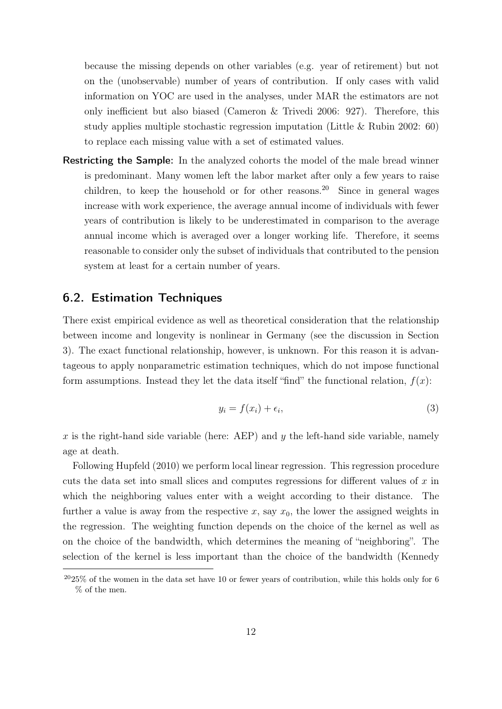because the missing depends on other variables (e.g. year of retirement) but not on the (unobservable) number of years of contribution. If only cases with valid information on YOC are used in the analyses, under MAR the estimators are not only inefficient but also biased (Cameron & Trivedi 2006: 927). Therefore, this study applies multiple stochastic regression imputation (Little & Rubin 2002: 60) to replace each missing value with a set of estimated values.

Restricting the Sample: In the analyzed cohorts the model of the male bread winner is predominant. Many women left the labor market after only a few years to raise children, to keep the household or for other reasons.<sup>20</sup> Since in general wages increase with work experience, the average annual income of individuals with fewer years of contribution is likely to be underestimated in comparison to the average annual income which is averaged over a longer working life. Therefore, it seems reasonable to consider only the subset of individuals that contributed to the pension system at least for a certain number of years.

#### 6.2. Estimation Techniques

There exist empirical evidence as well as theoretical consideration that the relationship between income and longevity is nonlinear in Germany (see the discussion in Section 3). The exact functional relationship, however, is unknown. For this reason it is advantageous to apply nonparametric estimation techniques, which do not impose functional form assumptions. Instead they let the data itself "find" the functional relation,  $f(x)$ :

$$
y_i = f(x_i) + \epsilon_i,\tag{3}
$$

x is the right-hand side variable (here: AEP) and y the left-hand side variable, namely age at death.

Following Hupfeld (2010) we perform local linear regression. This regression procedure cuts the data set into small slices and computes regressions for different values of  $x$  in which the neighboring values enter with a weight according to their distance. The further a value is away from the respective x, say  $x_0$ , the lower the assigned weights in the regression. The weighting function depends on the choice of the kernel as well as on the choice of the bandwidth, which determines the meaning of "neighboring". The selection of the kernel is less important than the choice of the bandwidth (Kennedy

 $2025\%$  of the women in the data set have 10 or fewer years of contribution, while this holds only for 6 % of the men.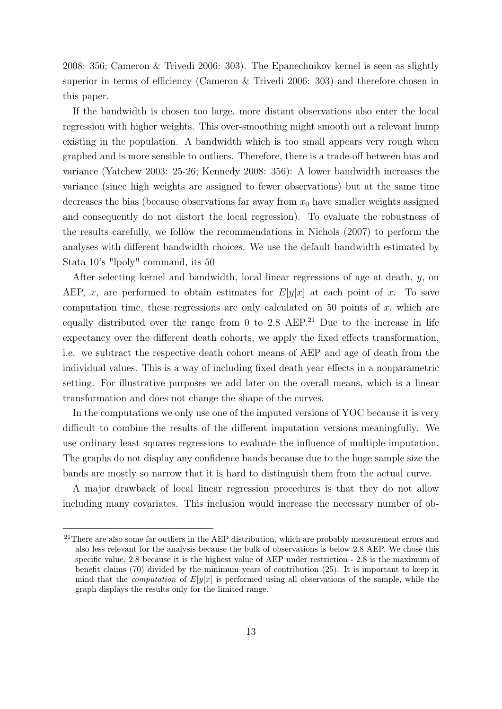2008: 356; Cameron & Trivedi 2006: 303). The Epanechnikov kernel is seen as slightly superior in terms of efficiency (Cameron & Trivedi 2006: 303) and therefore chosen in this paper.

If the bandwidth is chosen too large, more distant observations also enter the local regression with higher weights. This over-smoothing might smooth out a relevant hump existing in the population. A bandwidth which is too small appears very rough when graphed and is more sensible to outliers. Therefore, there is a trade-off between bias and variance (Yatchew 2003: 25-26; Kennedy 2008: 356): A lower bandwidth increases the variance (since high weights are assigned to fewer observations) but at the same time decreases the bias (because observations far away from  $x_0$  have smaller weights assigned and consequently do not distort the local regression). To evaluate the robustness of the results carefully, we follow the recommendations in Nichols (2007) to perform the analyses with different bandwidth choices. We use the default bandwidth estimated by Stata 10's "lpoly" command, its 50

After selecting kernel and bandwidth, local linear regressions of age at death, y, on AEP, x, are performed to obtain estimates for  $E[y|x]$  at each point of x. To save computation time, these regressions are only calculated on 50 points of  $x$ , which are equally distributed over the range from 0 to 2.8 AEP.<sup>21</sup> Due to the increase in life expectancy over the different death cohorts, we apply the fixed effects transformation, i.e. we subtract the respective death cohort means of AEP and age of death from the individual values. This is a way of including fixed death year effects in a nonparametric setting. For illustrative purposes we add later on the overall means, which is a linear transformation and does not change the shape of the curves.

In the computations we only use one of the imputed versions of YOC because it is very difficult to combine the results of the different imputation versions meaningfully. We use ordinary least squares regressions to evaluate the influence of multiple imputation. The graphs do not display any confidence bands because due to the huge sample size the bands are mostly so narrow that it is hard to distinguish them from the actual curve.

A major drawback of local linear regression procedures is that they do not allow including many covariates. This inclusion would increase the necessary number of ob-

<sup>&</sup>lt;sup>21</sup>There are also some far outliers in the AEP distribution, which are probably measurement errors and also less relevant for the analysis because the bulk of observations is below 2.8 AEP. We chose this specific value, 2.8 because it is the highest value of AEP under restriction - 2.8 is the maximum of benefit claims (70) divided by the minimum years of contribution (25). It is important to keep in mind that the *computation* of  $E[y|x]$  is performed using all observations of the sample, while the graph displays the results only for the limited range.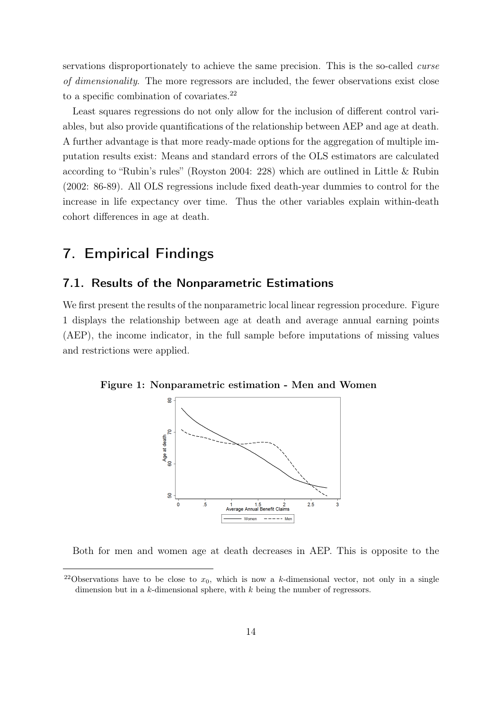servations disproportionately to achieve the same precision. This is the so-called curse of dimensionality. The more regressors are included, the fewer observations exist close to a specific combination of covariates.<sup>22</sup>

Least squares regressions do not only allow for the inclusion of different control variables, but also provide quantifications of the relationship between AEP and age at death. A further advantage is that more ready-made options for the aggregation of multiple imputation results exist: Means and standard errors of the OLS estimators are calculated according to "Rubin's rules" (Royston 2004: 228) which are outlined in Little & Rubin (2002: 86-89). All OLS regressions include fixed death-year dummies to control for the increase in life expectancy over time. Thus the other variables explain within-death cohort differences in age at death.

## 7. Empirical Findings

#### 7.1. Results of the Nonparametric Estimations

We first present the results of the nonparametric local linear regression procedure. Figure 1 displays the relationship between age at death and average annual earning points (AEP), the income indicator, in the full sample before imputations of missing values and restrictions were applied.

Figure 1: Nonparametric estimation - Men and Women



Both for men and women age at death decreases in AEP. This is opposite to the

<sup>&</sup>lt;sup>22</sup>Observations have to be close to  $x_0$ , which is now a k-dimensional vector, not only in a single dimension but in a  $k$ -dimensional sphere, with  $k$  being the number of regressors.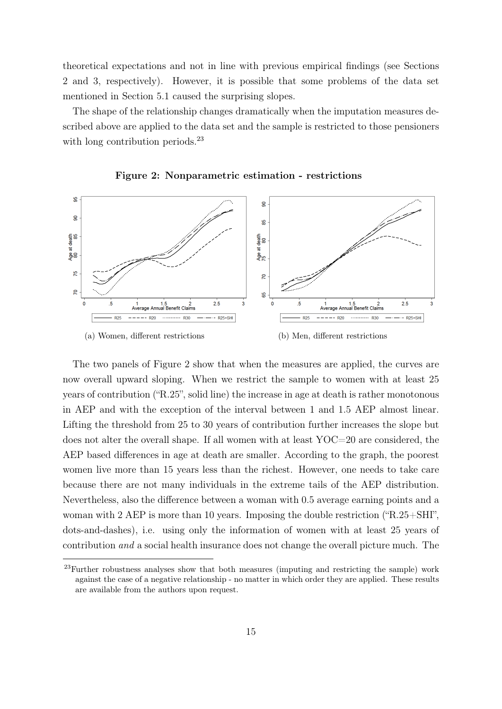theoretical expectations and not in line with previous empirical findings (see Sections 2 and 3, respectively). However, it is possible that some problems of the data set mentioned in Section 5.1 caused the surprising slopes.

The shape of the relationship changes dramatically when the imputation measures described above are applied to the data set and the sample is restricted to those pensioners with long contribution periods.<sup>23</sup>





The two panels of Figure 2 show that when the measures are applied, the curves are now overall upward sloping. When we restrict the sample to women with at least 25 years of contribution ("R.25", solid line) the increase in age at death is rather monotonous in AEP and with the exception of the interval between 1 and 1.5 AEP almost linear. Lifting the threshold from 25 to 30 years of contribution further increases the slope but does not alter the overall shape. If all women with at least YOC=20 are considered, the AEP based differences in age at death are smaller. According to the graph, the poorest women live more than 15 years less than the richest. However, one needs to take care because there are not many individuals in the extreme tails of the AEP distribution. Nevertheless, also the difference between a woman with 0.5 average earning points and a woman with 2 AEP is more than 10 years. Imposing the double restriction ("R.25+SHI", dots-and-dashes), i.e. using only the information of women with at least 25 years of contribution and a social health insurance does not change the overall picture much. The

<sup>&</sup>lt;sup>23</sup>Further robustness analyses show that both measures (imputing and restricting the sample) work against the case of a negative relationship - no matter in which order they are applied. These results are available from the authors upon request.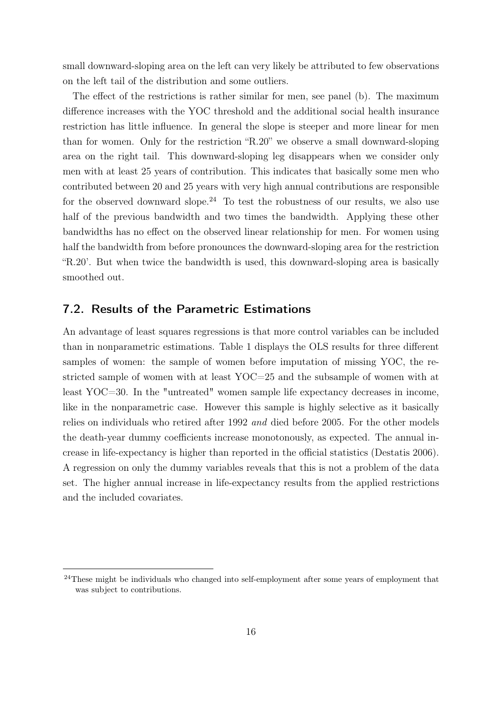small downward-sloping area on the left can very likely be attributed to few observations on the left tail of the distribution and some outliers.

The effect of the restrictions is rather similar for men, see panel (b). The maximum difference increases with the YOC threshold and the additional social health insurance restriction has little influence. In general the slope is steeper and more linear for men than for women. Only for the restriction "R.20" we observe a small downward-sloping area on the right tail. This downward-sloping leg disappears when we consider only men with at least 25 years of contribution. This indicates that basically some men who contributed between 20 and 25 years with very high annual contributions are responsible for the observed downward slope.<sup>24</sup> To test the robustness of our results, we also use half of the previous bandwidth and two times the bandwidth. Applying these other bandwidths has no effect on the observed linear relationship for men. For women using half the bandwidth from before pronounces the downward-sloping area for the restriction "R.20'. But when twice the bandwidth is used, this downward-sloping area is basically smoothed out.

#### 7.2. Results of the Parametric Estimations

An advantage of least squares regressions is that more control variables can be included than in nonparametric estimations. Table 1 displays the OLS results for three different samples of women: the sample of women before imputation of missing YOC, the restricted sample of women with at least YOC=25 and the subsample of women with at least YOC=30. In the "untreated" women sample life expectancy decreases in income, like in the nonparametric case. However this sample is highly selective as it basically relies on individuals who retired after 1992 and died before 2005. For the other models the death-year dummy coefficients increase monotonously, as expected. The annual increase in life-expectancy is higher than reported in the official statistics (Destatis 2006). A regression on only the dummy variables reveals that this is not a problem of the data set. The higher annual increase in life-expectancy results from the applied restrictions and the included covariates.

<sup>&</sup>lt;sup>24</sup>These might be individuals who changed into self-employment after some years of employment that was subject to contributions.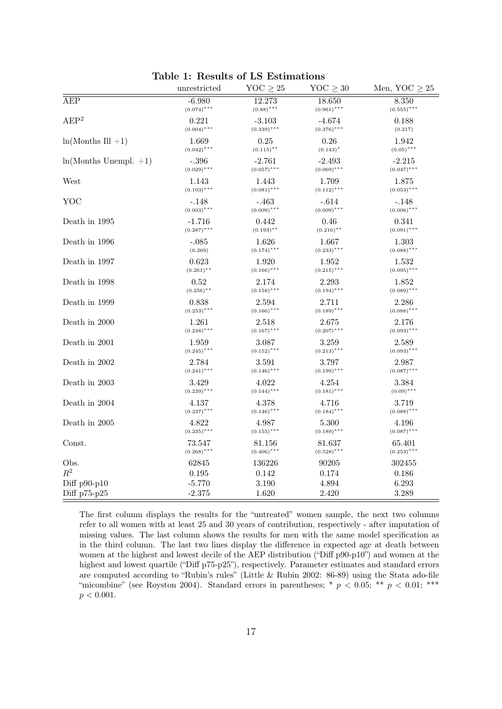|                         | unrestricted  | YOC $\geq 25$ | $YOC \geq 30$ | Men, $YOC \geq 25$ |  |
|-------------------------|---------------|---------------|---------------|--------------------|--|
| <b>AEP</b>              | $-6.980$      | 12.273        | 18.650        | 8.350              |  |
|                         | $(0.074)$ *** | $(0.88)$ ***  | $(0.961)$ *** | $(0.555)$ ***      |  |
| $\mathrm{AEP}^2$        | 0.221         | $-3.103$      | -4.674        | 0.188              |  |
|                         | $(0.004)$ *** | $(0.339)$ *** | $(0.376)$ *** | (0.217)            |  |
| $ln(Months III +1)$     | 1.669         | 0.25          | 0.26          | 1.942              |  |
|                         | $(0.042)$ *** | $(0.115)$ **  | $(0.143)^*$   | $(0.05)$ ***       |  |
| $ln(Months Unempl. +1)$ | $-.396$       | $-2.761$      | $-2.493$      | $-2.215$           |  |
|                         | $(0.029)$ *** | $(0.057)$ *** | $(0.069)$ *** | $(0.047)$ ***      |  |
| West                    | 1.143         | 1.443         | 1.709         | 1.875              |  |
|                         | $(0.103)$ *** | $(0.081)$ *** | $(0.112)$ *** | $(0.053)$ ***      |  |
| YOC                     | -.148         | -.463         | -.614         | -.148              |  |
|                         | $(0.003)$ *** | $(0.009)$ *** | $(0.009)$ *** | $(0.006)$ ***      |  |
| Death in 1995           | $-1.716$      | 0.442         | 0.46          | 0.341              |  |
|                         | $(0.287)$ *** | $(0.193)$ **  | $(0.216)$ **  | $(0.091)$ ***      |  |
| Death in 1996           | $-.085$       | 1.626         | 1.667         | 1.303              |  |
|                         | (0.269)       | $(0.174)$ *** | $(0.233)$ *** | $(0.088)$ ***      |  |
| Death in 1997           | 0.623         | 1.920         | 1.952         | 1.532              |  |
|                         | $(0.261)$ **  | $(0.166)$ *** | $(0.215)$ *** | $(0.095)$ ***      |  |
| Death in 1998           | 0.52          | 2.174         | 2.293         | 1.852              |  |
|                         | $(0.256)$ **  | $(0.158)$ *** | $(0.194)$ *** | $(0.089)$ ***      |  |
| Death in 1999           | 0.838         | 2.594         | 2.711         | 2.286              |  |
|                         | $(0.253)$ *** | $(0.166)$ *** | $(0.189)$ *** | $(0.088)$ ***      |  |
| Death in 2000           | 1.261         | 2.518         | 2.675         | 2.176              |  |
|                         | $(0.248)$ *** | $(0.167)$ *** | $(0.207)$ *** | $(0.093)$ ***      |  |
| Death in 2001           | 1.959         | 3.087         | 3.259         | 2.589              |  |
|                         | $(0.245)$ *** | $(0.152)$ *** | $(0.213)$ *** | $(0.093)$ ***      |  |
| Death in 2002           | 2.784         | 3.591         | 3.797         | 2.987              |  |
|                         | $(0.241)$ *** | $(0.146)$ *** | $(0.199)$ *** | $(0.087)$ ***      |  |
| Death in 2003           | 3.429         | 4.022         | 4.254         | 3.384              |  |
|                         | $(0.239)$ *** | $(0.144)$ *** | $(0.181)$ *** | $(0.09)$ ***       |  |
| Death in 2004           | 4.137         | 4.378         | 4.716         | 3.719              |  |
|                         | $(0.237)$ *** | $(0.146)$ *** | $(0.184)$ *** | $(0.088)$ ***      |  |
| Death in 2005           | 4.822         | 4.987         | 5.300         | 4.196              |  |
|                         | $(0.235)$ *** | $(0.155)$ *** | $(0.189)$ *** | $(0.087)$ ***      |  |
| Const.                  | 73.547        | 81.156        | 81.637        | 65.401             |  |
|                         | $(0.268)$ *** | $(0.406)$ *** | $(0.528)$ *** | $(0.253)$ ***      |  |
| Obs.                    | 62845         | 136226        | 90205         | 302455             |  |
| $R^2$                   | 0.195         | 0.142         | 0.174         | 0.186              |  |
| Diff $p90-p10$          | $-5.770$      | 3.190         | 4.894         | 6.293              |  |
| Diff p75-p25            | $-2.375$      | 1.620         | 2.420         | 3.289              |  |

Table 1: Results of LS Estimations

The first column displays the results for the "untreated" women sample, the next two columns refer to all women with at least 25 and 30 years of contribution, respectively - after imputation of missing values. The last column shows the results for men with the same model specification as in the third column. The last two lines display the difference in expected age at death between women at the highest and lowest decile of the AEP distribution ("Diff p90-p10") and women at the highest and lowest quartile ("Diff p75-p25"), respectively. Parameter estimates and standard errors are computed according to "Rubin's rules" (Little & Rubin 2002: 86-89) using the Stata ado-file "micombine" (see Royston 2004). Standard errors in parentheses;  $*$   $p < 0.05$ ;  $**$   $p < 0.01$ ;  $***$  $p < 0.001$ .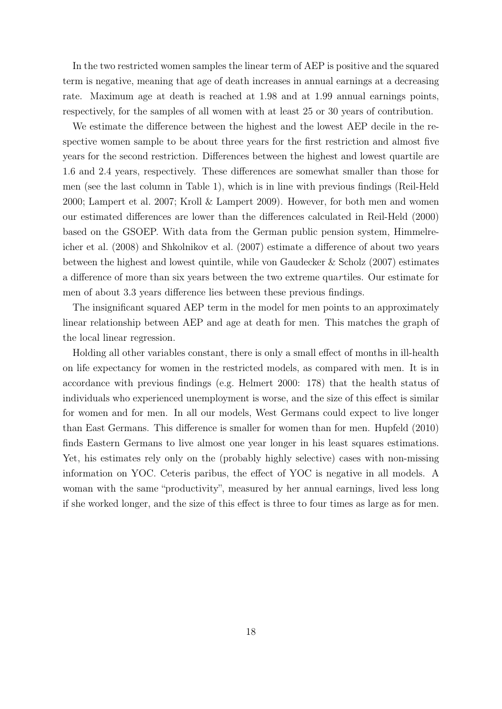In the two restricted women samples the linear term of AEP is positive and the squared term is negative, meaning that age of death increases in annual earnings at a decreasing rate. Maximum age at death is reached at 1.98 and at 1.99 annual earnings points, respectively, for the samples of all women with at least 25 or 30 years of contribution.

We estimate the difference between the highest and the lowest AEP decile in the respective women sample to be about three years for the first restriction and almost five years for the second restriction. Differences between the highest and lowest quartile are 1.6 and 2.4 years, respectively. These differences are somewhat smaller than those for men (see the last column in Table 1), which is in line with previous findings (Reil-Held 2000; Lampert et al. 2007; Kroll & Lampert 2009). However, for both men and women our estimated differences are lower than the differences calculated in Reil-Held (2000) based on the GSOEP. With data from the German public pension system, Himmelreicher et al. (2008) and Shkolnikov et al. (2007) estimate a difference of about two years between the highest and lowest quintile, while von Gaudecker & Scholz (2007) estimates a difference of more than six years between the two extreme quartiles. Our estimate for men of about 3.3 years difference lies between these previous findings.

The insignificant squared AEP term in the model for men points to an approximately linear relationship between AEP and age at death for men. This matches the graph of the local linear regression.

Holding all other variables constant, there is only a small effect of months in ill-health on life expectancy for women in the restricted models, as compared with men. It is in accordance with previous findings (e.g. Helmert 2000: 178) that the health status of individuals who experienced unemployment is worse, and the size of this effect is similar for women and for men. In all our models, West Germans could expect to live longer than East Germans. This difference is smaller for women than for men. Hupfeld (2010) finds Eastern Germans to live almost one year longer in his least squares estimations. Yet, his estimates rely only on the (probably highly selective) cases with non-missing information on YOC. Ceteris paribus, the effect of YOC is negative in all models. A woman with the same "productivity", measured by her annual earnings, lived less long if she worked longer, and the size of this effect is three to four times as large as for men.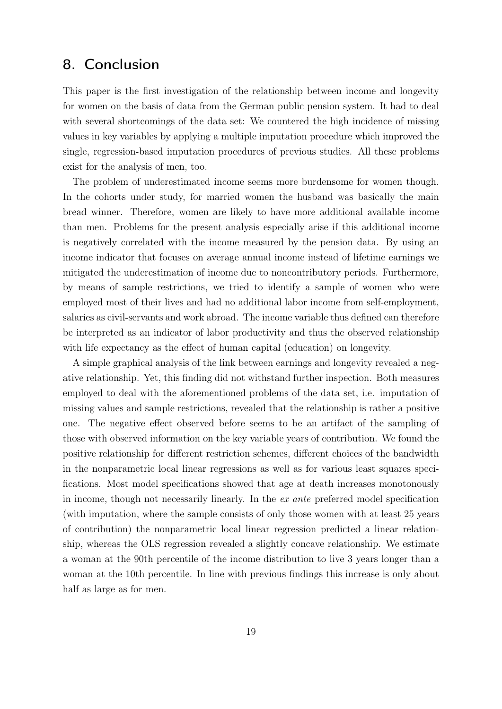## 8. Conclusion

This paper is the first investigation of the relationship between income and longevity for women on the basis of data from the German public pension system. It had to deal with several shortcomings of the data set: We countered the high incidence of missing values in key variables by applying a multiple imputation procedure which improved the single, regression-based imputation procedures of previous studies. All these problems exist for the analysis of men, too.

The problem of underestimated income seems more burdensome for women though. In the cohorts under study, for married women the husband was basically the main bread winner. Therefore, women are likely to have more additional available income than men. Problems for the present analysis especially arise if this additional income is negatively correlated with the income measured by the pension data. By using an income indicator that focuses on average annual income instead of lifetime earnings we mitigated the underestimation of income due to noncontributory periods. Furthermore, by means of sample restrictions, we tried to identify a sample of women who were employed most of their lives and had no additional labor income from self-employment, salaries as civil-servants and work abroad. The income variable thus defined can therefore be interpreted as an indicator of labor productivity and thus the observed relationship with life expectancy as the effect of human capital (education) on longevity.

A simple graphical analysis of the link between earnings and longevity revealed a negative relationship. Yet, this finding did not withstand further inspection. Both measures employed to deal with the aforementioned problems of the data set, i.e. imputation of missing values and sample restrictions, revealed that the relationship is rather a positive one. The negative effect observed before seems to be an artifact of the sampling of those with observed information on the key variable years of contribution. We found the positive relationship for different restriction schemes, different choices of the bandwidth in the nonparametric local linear regressions as well as for various least squares specifications. Most model specifications showed that age at death increases monotonously in income, though not necessarily linearly. In the ex ante preferred model specification (with imputation, where the sample consists of only those women with at least 25 years of contribution) the nonparametric local linear regression predicted a linear relationship, whereas the OLS regression revealed a slightly concave relationship. We estimate a woman at the 90th percentile of the income distribution to live 3 years longer than a woman at the 10th percentile. In line with previous findings this increase is only about half as large as for men.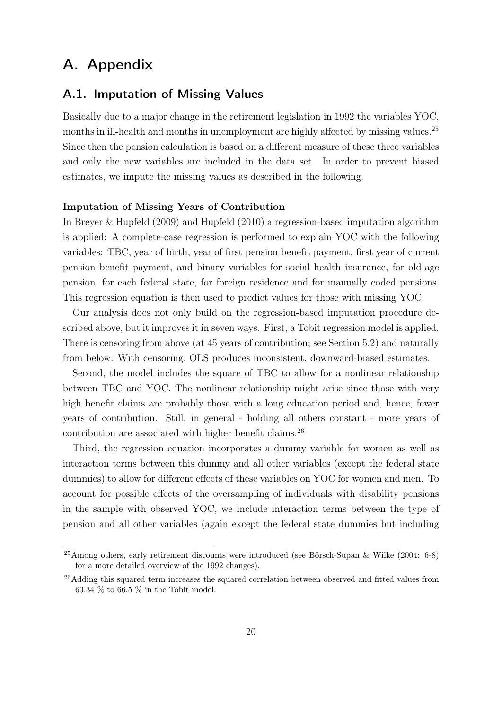## A. Appendix

#### A.1. Imputation of Missing Values

Basically due to a major change in the retirement legislation in 1992 the variables YOC, months in ill-health and months in unemployment are highly affected by missing values.<sup>25</sup> Since then the pension calculation is based on a different measure of these three variables and only the new variables are included in the data set. In order to prevent biased estimates, we impute the missing values as described in the following.

#### Imputation of Missing Years of Contribution

In Breyer & Hupfeld (2009) and Hupfeld (2010) a regression-based imputation algorithm is applied: A complete-case regression is performed to explain YOC with the following variables: TBC, year of birth, year of first pension benefit payment, first year of current pension benefit payment, and binary variables for social health insurance, for old-age pension, for each federal state, for foreign residence and for manually coded pensions. This regression equation is then used to predict values for those with missing YOC.

Our analysis does not only build on the regression-based imputation procedure described above, but it improves it in seven ways. First, a Tobit regression model is applied. There is censoring from above (at 45 years of contribution; see Section 5.2) and naturally from below. With censoring, OLS produces inconsistent, downward-biased estimates.

Second, the model includes the square of TBC to allow for a nonlinear relationship between TBC and YOC. The nonlinear relationship might arise since those with very high benefit claims are probably those with a long education period and, hence, fewer years of contribution. Still, in general - holding all others constant - more years of contribution are associated with higher benefit claims.<sup>26</sup>

Third, the regression equation incorporates a dummy variable for women as well as interaction terms between this dummy and all other variables (except the federal state dummies) to allow for different effects of these variables on YOC for women and men. To account for possible effects of the oversampling of individuals with disability pensions in the sample with observed YOC, we include interaction terms between the type of pension and all other variables (again except the federal state dummies but including

<sup>25</sup>Among others, early retirement discounts were introduced (see Börsch-Supan & Wilke (2004: 6-8) for a more detailed overview of the 1992 changes).

<sup>&</sup>lt;sup>26</sup>Adding this squared term increases the squared correlation between observed and fitted values from 63.34 % to 66.5 % in the Tobit model.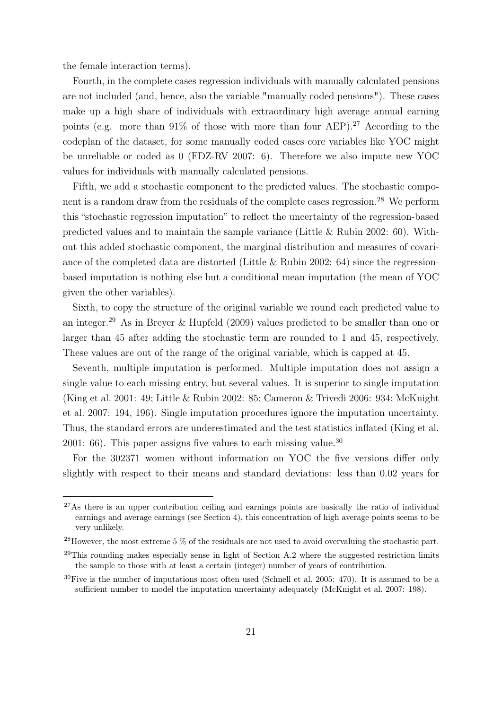the female interaction terms).

Fourth, in the complete cases regression individuals with manually calculated pensions are not included (and, hence, also the variable "manually coded pensions"). These cases make up a high share of individuals with extraordinary high average annual earning points (e.g. more than  $91\%$  of those with more than four AEP).<sup>27</sup> According to the codeplan of the dataset, for some manually coded cases core variables like YOC might be unreliable or coded as 0 (FDZ-RV 2007: 6). Therefore we also impute new YOC values for individuals with manually calculated pensions.

Fifth, we add a stochastic component to the predicted values. The stochastic component is a random draw from the residuals of the complete cases regression.<sup>28</sup> We perform this "stochastic regression imputation" to reflect the uncertainty of the regression-based predicted values and to maintain the sample variance (Little  $\&$  Rubin 2002: 60). Without this added stochastic component, the marginal distribution and measures of covariance of the completed data are distorted (Little  $\&$  Rubin 2002: 64) since the regressionbased imputation is nothing else but a conditional mean imputation (the mean of YOC given the other variables).

Sixth, to copy the structure of the original variable we round each predicted value to an integer.<sup>29</sup> As in Breyer & Hupfeld (2009) values predicted to be smaller than one or larger than 45 after adding the stochastic term are rounded to 1 and 45, respectively. These values are out of the range of the original variable, which is capped at 45.

Seventh, multiple imputation is performed. Multiple imputation does not assign a single value to each missing entry, but several values. It is superior to single imputation (King et al. 2001: 49; Little & Rubin 2002: 85; Cameron & Trivedi 2006: 934; McKnight et al. 2007: 194, 196). Single imputation procedures ignore the imputation uncertainty. Thus, the standard errors are underestimated and the test statistics inflated (King et al. 2001: 66). This paper assigns five values to each missing value.<sup>30</sup>

For the 302371 women without information on YOC the five versions differ only slightly with respect to their means and standard deviations: less than 0.02 years for

<sup>&</sup>lt;sup>27</sup>As there is an upper contribution ceiling and earnings points are basically the ratio of individual earnings and average earnings (see Section 4), this concentration of high average points seems to be very unlikely.

<sup>28</sup>However, the most extreme 5 % of the residuals are not used to avoid overvaluing the stochastic part.

 $^{29}$ This rounding makes especially sense in light of Section A.2 where the suggested restriction limits the sample to those with at least a certain (integer) number of years of contribution.

<sup>30</sup>Five is the number of imputations most often used (Schnell et al. 2005: 470). It is assumed to be a sufficient number to model the imputation uncertainty adequately (McKnight et al. 2007: 198).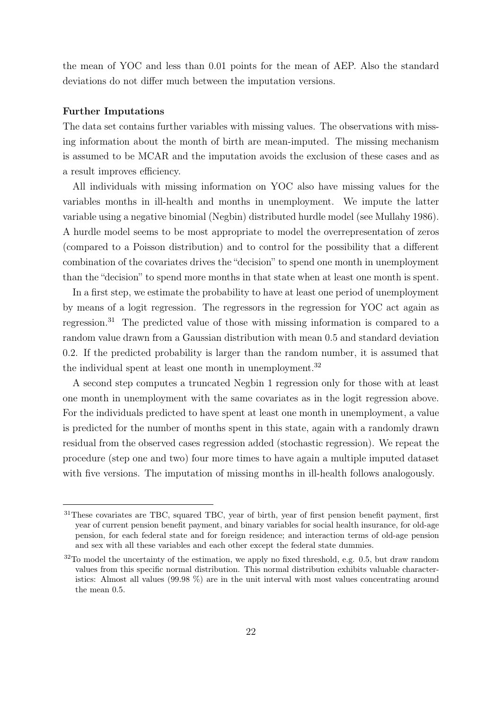the mean of YOC and less than 0.01 points for the mean of AEP. Also the standard deviations do not differ much between the imputation versions.

#### Further Imputations

The data set contains further variables with missing values. The observations with missing information about the month of birth are mean-imputed. The missing mechanism is assumed to be MCAR and the imputation avoids the exclusion of these cases and as a result improves efficiency.

All individuals with missing information on YOC also have missing values for the variables months in ill-health and months in unemployment. We impute the latter variable using a negative binomial (Negbin) distributed hurdle model (see Mullahy 1986). A hurdle model seems to be most appropriate to model the overrepresentation of zeros (compared to a Poisson distribution) and to control for the possibility that a different combination of the covariates drives the "decision" to spend one month in unemployment than the "decision" to spend more months in that state when at least one month is spent.

In a first step, we estimate the probability to have at least one period of unemployment by means of a logit regression. The regressors in the regression for YOC act again as regression.<sup>31</sup> The predicted value of those with missing information is compared to a random value drawn from a Gaussian distribution with mean 0.5 and standard deviation 0.2. If the predicted probability is larger than the random number, it is assumed that the individual spent at least one month in unemployment.<sup>32</sup>

A second step computes a truncated Negbin 1 regression only for those with at least one month in unemployment with the same covariates as in the logit regression above. For the individuals predicted to have spent at least one month in unemployment, a value is predicted for the number of months spent in this state, again with a randomly drawn residual from the observed cases regression added (stochastic regression). We repeat the procedure (step one and two) four more times to have again a multiple imputed dataset with five versions. The imputation of missing months in ill-health follows analogously.

<sup>31</sup>These covariates are TBC, squared TBC, year of birth, year of first pension benefit payment, first year of current pension benefit payment, and binary variables for social health insurance, for old-age pension, for each federal state and for foreign residence; and interaction terms of old-age pension and sex with all these variables and each other except the federal state dummies.

 $32$ To model the uncertainty of the estimation, we apply no fixed threshold, e.g. 0.5, but draw random values from this specific normal distribution. This normal distribution exhibits valuable characteristics: Almost all values (99.98 %) are in the unit interval with most values concentrating around the mean 0.5.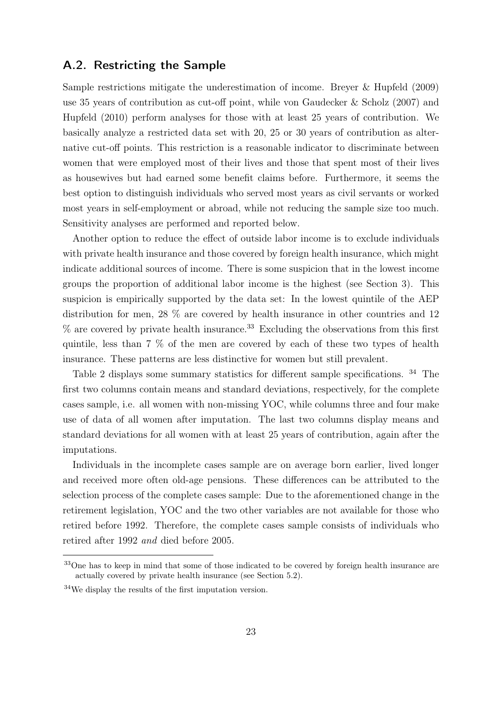#### A.2. Restricting the Sample

Sample restrictions mitigate the underestimation of income. Breyer & Hupfeld (2009) use 35 years of contribution as cut-off point, while von Gaudecker & Scholz (2007) and Hupfeld (2010) perform analyses for those with at least 25 years of contribution. We basically analyze a restricted data set with 20, 25 or 30 years of contribution as alternative cut-off points. This restriction is a reasonable indicator to discriminate between women that were employed most of their lives and those that spent most of their lives as housewives but had earned some benefit claims before. Furthermore, it seems the best option to distinguish individuals who served most years as civil servants or worked most years in self-employment or abroad, while not reducing the sample size too much. Sensitivity analyses are performed and reported below.

Another option to reduce the effect of outside labor income is to exclude individuals with private health insurance and those covered by foreign health insurance, which might indicate additional sources of income. There is some suspicion that in the lowest income groups the proportion of additional labor income is the highest (see Section 3). This suspicion is empirically supported by the data set: In the lowest quintile of the AEP distribution for men, 28 % are covered by health insurance in other countries and 12  $\%$  are covered by private health insurance.<sup>33</sup> Excluding the observations from this first quintile, less than 7 % of the men are covered by each of these two types of health insurance. These patterns are less distinctive for women but still prevalent.

Table 2 displays some summary statistics for different sample specifications. <sup>34</sup> The first two columns contain means and standard deviations, respectively, for the complete cases sample, i.e. all women with non-missing YOC, while columns three and four make use of data of all women after imputation. The last two columns display means and standard deviations for all women with at least 25 years of contribution, again after the imputations.

Individuals in the incomplete cases sample are on average born earlier, lived longer and received more often old-age pensions. These differences can be attributed to the selection process of the complete cases sample: Due to the aforementioned change in the retirement legislation, YOC and the two other variables are not available for those who retired before 1992. Therefore, the complete cases sample consists of individuals who retired after 1992 and died before 2005.

<sup>&</sup>lt;sup>33</sup>One has to keep in mind that some of those indicated to be covered by foreign health insurance are actually covered by private health insurance (see Section 5.2).

<sup>34</sup>We display the results of the first imputation version.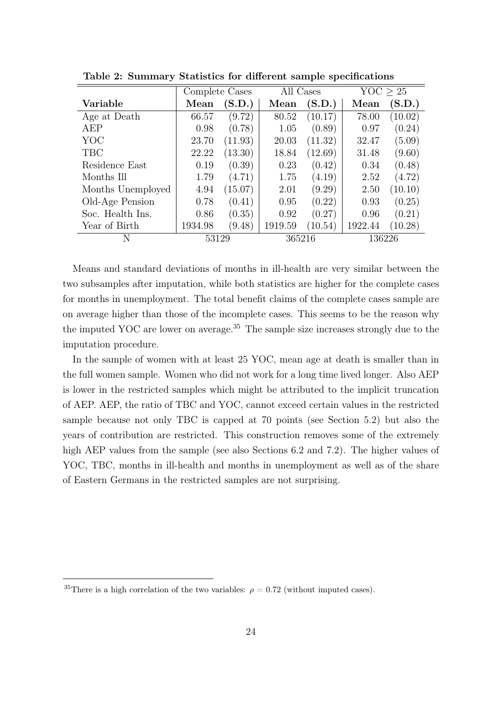|                   | Complete Cases |         | All Cases |         | YOC > 25 |         |
|-------------------|----------------|---------|-----------|---------|----------|---------|
| Variable          | Mean           | (S.D.)  | Mean      | (S.D.)  | Mean     | (S.D.)  |
| Age at Death      | 66.57          | (9.72)  | 80.52     | (10.17) | 78.00    | (10.02) |
| AEP               | 0.98           | (0.78)  | 1.05      | (0.89)  | 0.97     | (0.24)  |
| YOC               | 23.70          | (11.93) | 20.03     | (11.32) | 32.47    | (5.09)  |
| <b>TBC</b>        | 22.22          | (13.30) | 18.84     | (12.69) | 31.48    | (9.60)  |
| Residence East    | 0.19           | (0.39)  | 0.23      | (0.42)  | 0.34     | (0.48)  |
| Months Ill        | 1.79           | (4.71)  | 1.75      | (4.19)  | 2.52     | (4.72)  |
| Months Unemployed | 4.94           | (15.07) | 2.01      | (9.29)  | 2.50     | (10.10) |
| Old-Age Pension   | 0.78           | (0.41)  | 0.95      | (0.22)  | 0.93     | (0.25)  |
| Soc. Health Ins.  | 0.86           | (0.35)  | 0.92      | (0.27)  | 0.96     | (0.21)  |
| Year of Birth     | 1934.98        | (9.48)  | 1919.59   | (10.54) | 1922.44  | (10.28) |
| N                 | 53129          |         | 365216    |         | 136226   |         |

Table 2: Summary Statistics for different sample specifications

Means and standard deviations of months in ill-health are very similar between the two subsamples after imputation, while both statistics are higher for the complete cases for months in unemployment. The total benefit claims of the complete cases sample are on average higher than those of the incomplete cases. This seems to be the reason why the imputed YOC are lower on average.<sup>35</sup> The sample size increases strongly due to the imputation procedure.

In the sample of women with at least 25 YOC, mean age at death is smaller than in the full women sample. Women who did not work for a long time lived longer. Also AEP is lower in the restricted samples which might be attributed to the implicit truncation of AEP. AEP, the ratio of TBC and YOC, cannot exceed certain values in the restricted sample because not only TBC is capped at 70 points (see Section 5.2) but also the years of contribution are restricted. This construction removes some of the extremely high AEP values from the sample (see also Sections 6.2 and 7.2). The higher values of YOC, TBC, months in ill-health and months in unemployment as well as of the share of Eastern Germans in the restricted samples are not surprising.

<sup>&</sup>lt;sup>35</sup>There is a high correlation of the two variables:  $\rho = 0.72$  (without imputed cases).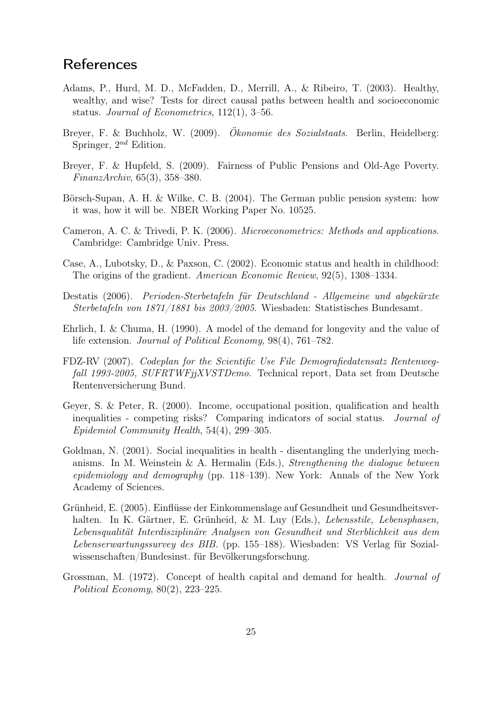## References

- Adams, P., Hurd, M. D., McFadden, D., Merrill, A., & Ribeiro, T. (2003). Healthy, wealthy, and wise? Tests for direct causal paths between health and socioeconomic status. Journal of Econometrics, 112(1), 3–56.
- Breyer, F. & Buchholz, W. (2009). Ökonomie des Sozialstaats. Berlin, Heidelberg: Springer,  $2^{nd}$  Edition.
- Breyer, F. & Hupfeld, S. (2009). Fairness of Public Pensions and Old-Age Poverty. FinanzArchiv, 65(3), 358–380.
- Börsch-Supan, A. H. & Wilke, C. B. (2004). The German public pension system: how it was, how it will be. NBER Working Paper No. 10525.
- Cameron, A. C. & Trivedi, P. K. (2006). Microeconometrics: Methods and applications. Cambridge: Cambridge Univ. Press.
- Case, A., Lubotsky, D., & Paxson, C. (2002). Economic status and health in childhood: The origins of the gradient. American Economic Review, 92(5), 1308–1334.
- Destatis (2006). Perioden-Sterbetafeln für Deutschland Allgemeine und abgekürzte Sterbetafeln von 1871/1881 bis 2003/2005. Wiesbaden: Statistisches Bundesamt.
- Ehrlich, I. & Chuma, H. (1990). A model of the demand for longevity and the value of life extension. Journal of Political Economy, 98(4), 761–782.
- FDZ-RV (2007). Codeplan for the Scientific Use File Demografiedatensatz Rentenwegfall 1993-2005, SUFRTWFjjXVSTDemo. Technical report, Data set from Deutsche Rentenversicherung Bund.
- Geyer, S. & Peter, R. (2000). Income, occupational position, qualification and health inequalities - competing risks? Comparing indicators of social status. Journal of Epidemiol Community Health, 54(4), 299–305.
- Goldman, N. (2001). Social inequalities in health disentangling the underlying mechanisms. In M. Weinstein  $\&$  A. Hermalin (Eds.), *Strengthening the dialogue between* epidemiology and demography (pp. 118–139). New York: Annals of the New York Academy of Sciences.
- Grünheid, E. (2005). Einflüsse der Einkommenslage auf Gesundheit und Gesundheitsverhalten. In K. Gärtner, E. Grünheid, & M. Luy (Eds.), Lebensstile, Lebensphasen, Lebensqualität Interdisziplinäre Analysen von Gesundheit und Sterblichkeit aus dem Lebenserwartungssurvey des BIB. (pp. 155–188). Wiesbaden: VS Verlag für Sozialwissenschaften/Bundesinst. für Bevölkerungsforschung.
- Grossman, M. (1972). Concept of health capital and demand for health. Journal of Political Economy, 80(2), 223–225.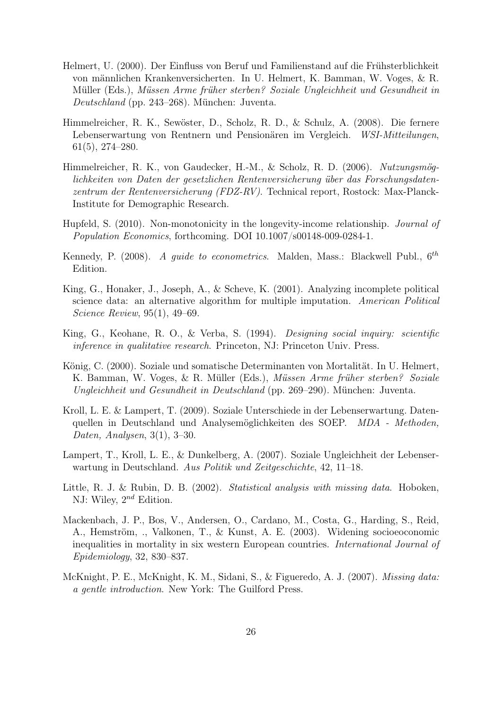- Helmert, U. (2000). Der Einfluss von Beruf und Familienstand auf die Frühsterblichkeit von männlichen Krankenversicherten. In U. Helmert, K. Bamman, W. Voges, & R. Müller (Eds.), Müssen Arme früher sterben? Soziale Ungleichheit und Gesundheit in Deutschland (pp. 243–268). München: Juventa.
- Himmelreicher, R. K., Sewöster, D., Scholz, R. D., & Schulz, A. (2008). Die fernere Lebenserwartung von Rentnern und Pensionären im Vergleich. WSI-Mitteilungen, 61(5), 274–280.
- Himmelreicher, R. K., von Gaudecker, H.-M., & Scholz, R. D. (2006). Nutzungsmöglichkeiten von Daten der gesetzlichen Rentenversicherung über das Forschungsdatenzentrum der Rentenversicherung (FDZ-RV). Technical report, Rostock: Max-Planck-Institute for Demographic Research.
- Hupfeld, S. (2010). Non-monotonicity in the longevity-income relationship. Journal of Population Economics, forthcoming. DOI 10.1007/s00148-009-0284-1.
- Kennedy, P. (2008). A guide to econometrics. Malden, Mass.: Blackwell Publ.,  $6^{th}$ Edition.
- King, G., Honaker, J., Joseph, A., & Scheve, K. (2001). Analyzing incomplete political science data: an alternative algorithm for multiple imputation. American Political Science Review, 95(1), 49–69.
- King, G., Keohane, R. O., & Verba, S. (1994). Designing social inquiry: scientific inference in qualitative research. Princeton, NJ: Princeton Univ. Press.
- König, C. (2000). Soziale und somatische Determinanten von Mortalität. In U. Helmert, K. Bamman, W. Voges, & R. Müller (Eds.), Müssen Arme früher sterben? Soziale Ungleichheit und Gesundheit in Deutschland (pp. 269–290). München: Juventa.
- Kroll, L. E. & Lampert, T. (2009). Soziale Unterschiede in der Lebenserwartung. Datenquellen in Deutschland und Analysemöglichkeiten des SOEP. MDA - Methoden, Daten, Analysen, 3(1), 3–30.
- Lampert, T., Kroll, L. E., & Dunkelberg, A. (2007). Soziale Ungleichheit der Lebenserwartung in Deutschland. Aus Politik und Zeitgeschichte, 42, 11–18.
- Little, R. J. & Rubin, D. B. (2002). Statistical analysis with missing data. Hoboken, NJ: Wiley,  $2^{nd}$  Edition.
- Mackenbach, J. P., Bos, V., Andersen, O., Cardano, M., Costa, G., Harding, S., Reid, A., Hemström, ., Valkonen, T., & Kunst, A. E. (2003). Widening socioeoconomic inequalities in mortality in six western European countries. International Journal of Epidemiology, 32, 830–837.
- McKnight, P. E., McKnight, K. M., Sidani, S., & Figueredo, A. J. (2007). Missing data: a gentle introduction. New York: The Guilford Press.